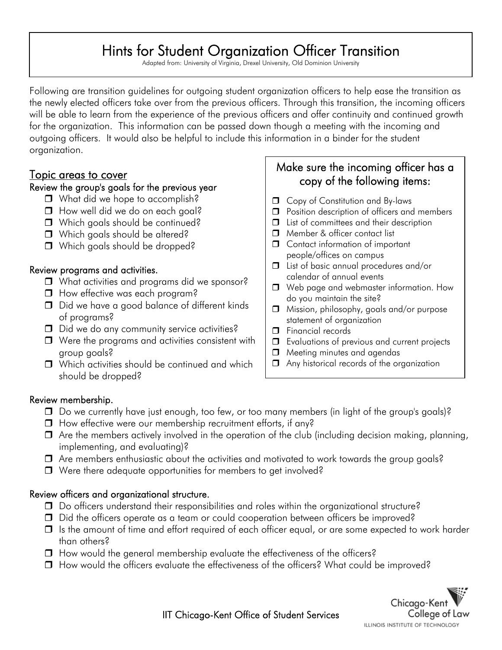## Hints for Student Organization Officer Transition

 $\overline{a}$ 

Adapted from: University of Virginia, Drexel University, Old Dominion University

 Following are transition guidelines for outgoing student organization officers to help ease the transition as the newly elected officers take over from the previous officers. Through this transition, the incoming officers will be able to learn from the experience of the previous officers and offer continuity and continued growth for the organization. This information can be passed down though a meeting with the incoming and outgoing officers. It would also be helpful to include this information in a binder for the student organization.

### Topic areas to cover

### Review the group's goals for the previous year

- □ What did we hope to accomplish?
- How well did we do on each goal?
- Which goals should be continued?
- Which goals should be altered?
- Which goals should be dropped?

### Review programs and activities.

- □ What activities and programs did we sponsor?
- **How effective was each program?**
- D Did we have a good balance of different kinds of programs?
- D Id we do any community service activities?
- $\Box$  Were the programs and activities consistent with group goals?
- □ Which activities should be continued and which should be dropped?

### Make sure the incoming officer has a copy of the following items:

- **D** Copy of Constitution and By-laws
- **D** Position description of officers and members
- □ List of committees and their description
- Member & officer contact list
- $\Box$  Contact information of important people/offices on campus
- □ List of basic annual procedures and/or calendar of annual events
- □ Web page and webmaster information. How do you maintain the site?
- $\Box$  Mission, philosophy, goals and/or purpose statement of organization
- Financial records
- **I** Evaluations of previous and current projects
- $\Box$  Meeting minutes and agendas
- Any historical records of the organization

### Review membership.

- $\Box$  Do we currently have just enough, too few, or too many members (in light of the group's goals)?
- $\Box$  How effective were our membership recruitment efforts, if any?
- $\Box$  Are the members actively involved in the operation of the club (including decision making, planning, implementing, and evaluating)?
- Are members enthusiastic about the activities and motivated to work towards the group goals?
- $\Box$  Were there adequate opportunities for members to get involved?

### Review officers and organizational structure.

- Do officers understand their responsibilities and roles within the organizational structure?
- Did the officers operate as a team or could cooperation between officers be improved?
- $\Box$  Is the amount of time and effort required of each officer equal, or are some expected to work harder than others?
- $\Box$  How would the general membership evaluate the effectiveness of the officers?
- How would the officers evaluate the effectiveness of the officers? What could be improved?



IIT Chicago-Kent Office of Student Services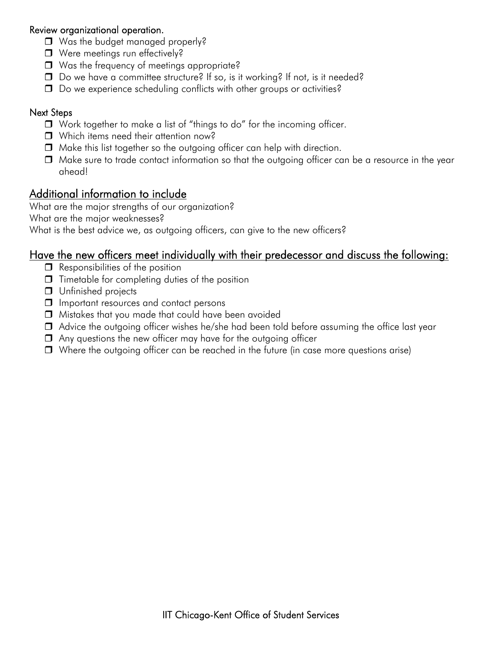### Review organizational operation.

- Was the budget managed properly?
- Were meetings run effectively?
- Was the frequency of meetings appropriate?
- □ Do we have a committee structure? If so, is it working? If not, is it needed?
- $\Box$  Do we experience scheduling conflicts with other groups or activities?

### Next Steps

- □ Work together to make a list of "things to do" for the incoming officer.
- Which items need their attention now?
- $\Box$  Make this list together so the outgoing officer can help with direction.
- $\Box$  Make sure to trade contact information so that the outgoing officer can be a resource in the year ahead!

### Additional information to include

What are the major strengths of our organization?

What are the major weaknesses?

What is the best advice we, as outgoing officers, can give to the new officers?

### Have the new officers meet individually with their predecessor and discuss the following:

- $\Box$  Responsibilities of the position
- $\Box$  Timetable for completing duties of the position
- **Unfinished projects**
- **I** Important resources and contact persons
- Mistakes that you made that could have been avoided
- $\Box$  Advice the outgoing officer wishes he/she had been told before assuming the office last year
- $\Box$  Any questions the new officer may have for the outgoing officer
- $\Box$  Where the outgoing officer can be reached in the future (in case more questions arise)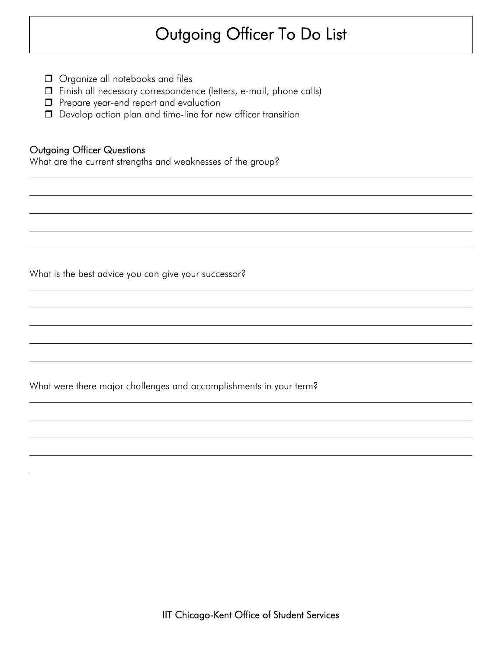# Outgoing Officer To Do List

 $\overline{a}$ 

- **O** Organize all notebooks and files
- Finish all necessary correspondence (letters, e-mail, phone calls)
- **P** Prepare year-end report and evaluation
- D Develop action plan and time-line for new officer transition

### Outgoing Officer Questions

 $\overline{a}$ 

 $\overline{a}$ 

 $\overline{a}$ 

 $\overline{a}$ 

 $\overline{a}$ 

What are the current strengths and weaknesses of the group?

What is the best advice you can give your successor?

What were there major challenges and accomplishments in your term?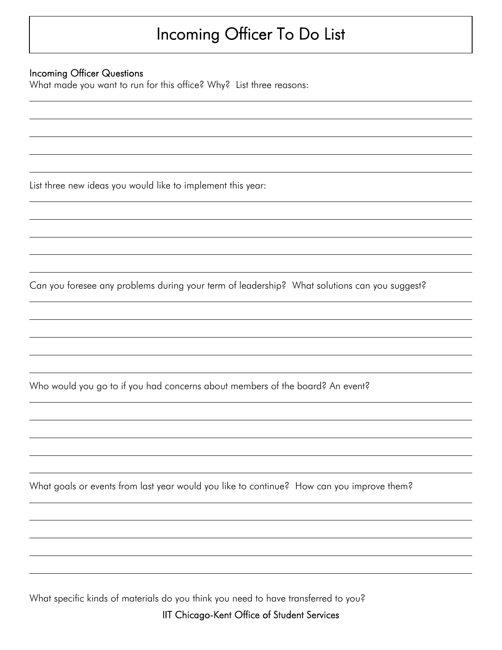# Incoming Officer To Do List

### Incoming Officer Questions

 $\overline{a}$ 

 $\overline{a}$ 

 $\overline{a}$ 

 $\overline{a}$ 

 $\overline{a}$ 

What made you want to run for this office? Why? List three reasons:

List three new ideas you would like to implement this year:

Can you foresee any problems during your term of leadership? What solutions can you suggest?

Who would you go to if you had concerns about members of the board? An event?

What goals or events from last year would you like to continue? How can you improve them?

What specific kinds of materials do you think you need to have transferred to you?

IIT Chicago-Kent Office of Student Services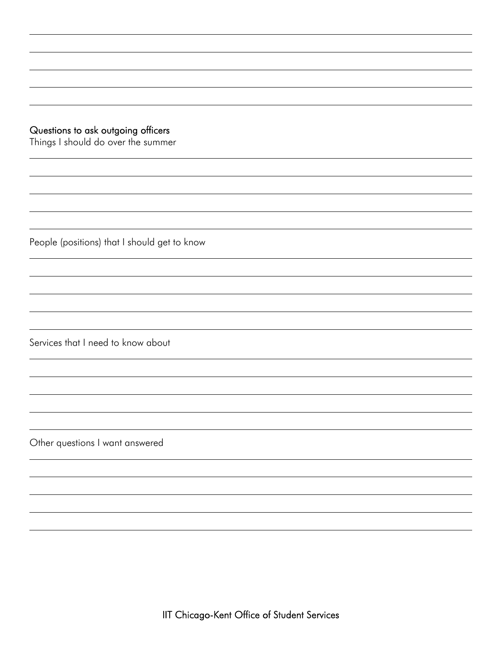### Questions to ask outgoing officers

 $\overline{a}$ 

 $\overline{a}$ 

 $\overline{a}$ 

 $\overline{a}$ 

 $\overline{a}$ 

 $\overline{a}$ 

Things I should do over the summer

People (positions) that I should get to know

Services that I need to know about

Other questions I want answered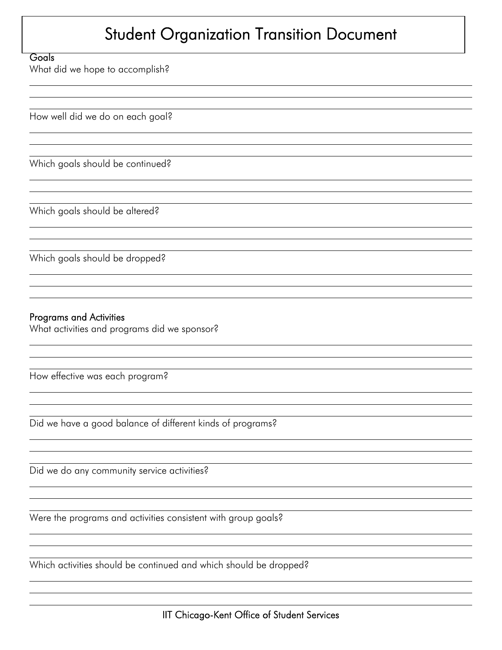## Student Organization Transition Document

#### **Goals**

 $\overline{a}$ 

 $\overline{a}$ 

 $\overline{a}$  $\overline{a}$ 

What did we hope to accomplish?

How well did we do on each goal?

Which goals should be continued?

Which goals should be altered?

Which goals should be dropped?

### Programs and Activities

What activities and programs did we sponsor?

How effective was each program?

Did we have a good balance of different kinds of programs?

Did we do any community service activities?

Were the programs and activities consistent with group goals?

Which activities should be continued and which should be dropped?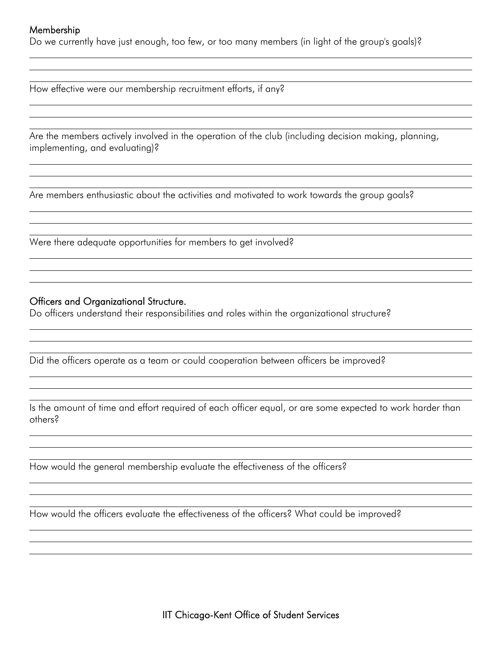#### Membership

 $\overline{a}$  $\overline{a}$ 

 $\overline{a}$ 

 $\overline{a}$  $\overline{a}$ 

 $\overline{a}$ 

 $\overline{a}$ 

 $\overline{a}$  $\overline{a}$ 

 $\overline{a}$ 

 $\overline{a}$  $\overline{a}$ 

 $\overline{a}$ 

 $\overline{a}$ 

Do we currently have just enough, too few, or too many members (in light of the group's goals)?

How effective were our membership recruitment efforts, if any?

Are the members actively involved in the operation of the club (including decision making, planning, implementing, and evaluating)?

Are members enthusiastic about the activities and motivated to work towards the group goals?

Were there adequate opportunities for members to get involved?

#### Officers and Organizational Structure.

Do officers understand their responsibilities and roles within the organizational structure?

Did the officers operate as a team or could cooperation between officers be improved?

Is the amount of time and effort required of each officer equal, or are some expected to work harder than others?

How would the general membership evaluate the effectiveness of the officers?

How would the officers evaluate the effectiveness of the officers? What could be improved?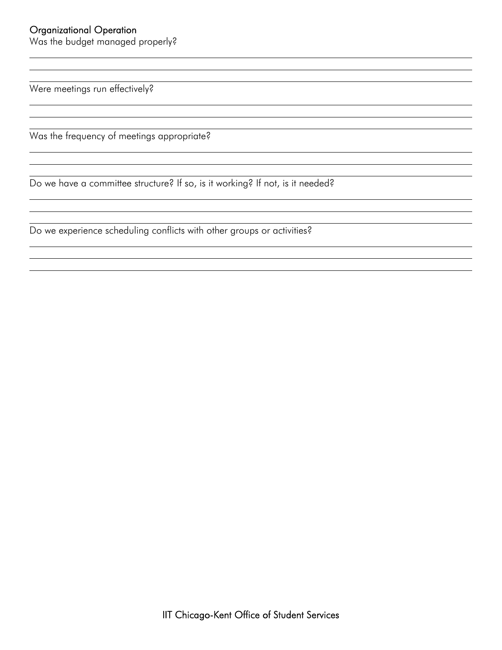### Organizational Operation

 $\overline{a}$ 

 $\overline{a}$ 

 $\overline{a}$ 

Was the budget managed properly?

Were meetings run effectively?

Was the frequency of meetings appropriate?

Do we have a committee structure? If so, is it working? If not, is it needed?

Do we experience scheduling conflicts with other groups or activities?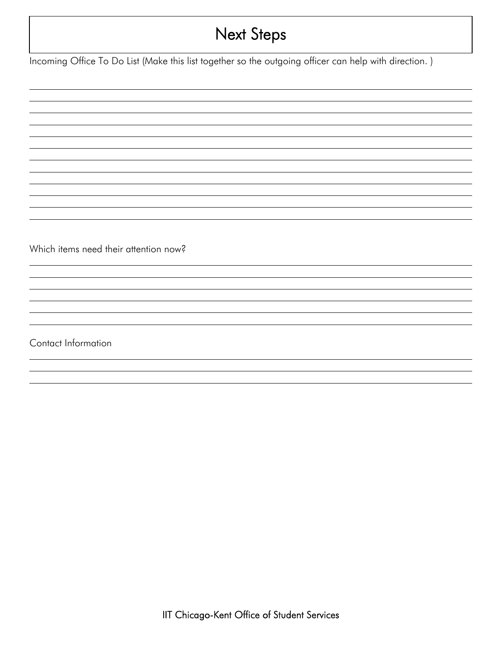## Next Steps

Incoming Office To Do List (Make this list together so the outgoing officer can help with direction.)

Which items need their attention now?

Contact Information

 $\overline{a}$  $\overline{a}$ 

 $\overline{a}$ 

 $\overline{a}$  $\overline{a}$ 

 $\overline{a}$